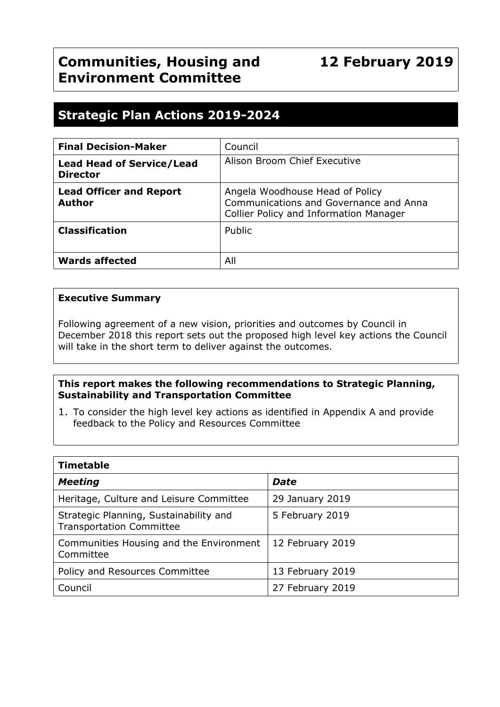**12 February 2019**

# **Strategic Plan Actions 2019-2024**

| <b>Final Decision-Maker</b>                         | Council                                                                                                             |
|-----------------------------------------------------|---------------------------------------------------------------------------------------------------------------------|
| <b>Lead Head of Service/Lead</b><br><b>Director</b> | Alison Broom Chief Executive                                                                                        |
| <b>Lead Officer and Report</b><br><b>Author</b>     | Angela Woodhouse Head of Policy<br>Communications and Governance and Anna<br>Collier Policy and Information Manager |
| <b>Classification</b>                               | Public                                                                                                              |
| <b>Wards affected</b>                               | All                                                                                                                 |

#### **Executive Summary**

Following agreement of a new vision, priorities and outcomes by Council in December 2018 this report sets out the proposed high level key actions the Council will take in the short term to deliver against the outcomes.

#### **This report makes the following recommendations to Strategic Planning, Sustainability and Transportation Committee**

1. To consider the high level key actions as identified in Appendix A and provide feedback to the Policy and Resources Committee

| <b>Timetable</b>                                                          |                  |  |  |  |
|---------------------------------------------------------------------------|------------------|--|--|--|
| <b>Meeting</b>                                                            | Date             |  |  |  |
| Heritage, Culture and Leisure Committee                                   | 29 January 2019  |  |  |  |
| Strategic Planning, Sustainability and<br><b>Transportation Committee</b> | 5 February 2019  |  |  |  |
| Communities Housing and the Environment<br>Committee                      | 12 February 2019 |  |  |  |
| Policy and Resources Committee                                            | 13 February 2019 |  |  |  |
| Council                                                                   | 27 February 2019 |  |  |  |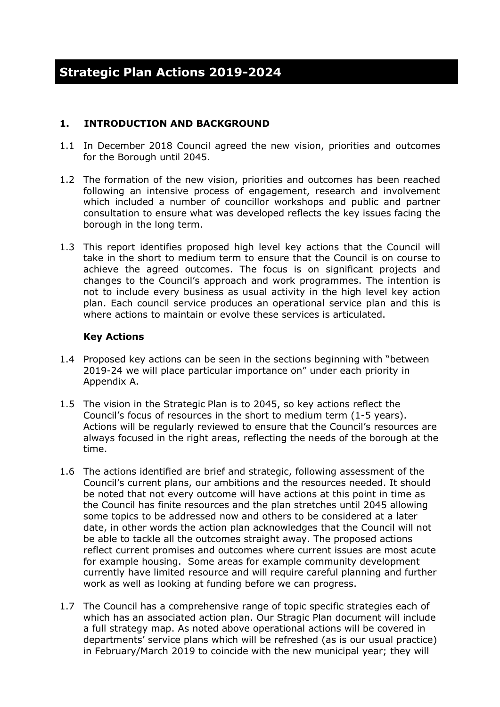# **Strategic Plan Actions 2019-2024**

#### **1. INTRODUCTION AND BACKGROUND**

- 1.1 In December 2018 Council agreed the new vision, priorities and outcomes for the Borough until 2045.
- 1.2 The formation of the new vision, priorities and outcomes has been reached following an intensive process of engagement, research and involvement which included a number of councillor workshops and public and partner consultation to ensure what was developed reflects the key issues facing the borough in the long term.
- 1.3 This report identifies proposed high level key actions that the Council will take in the short to medium term to ensure that the Council is on course to achieve the agreed outcomes. The focus is on significant projects and changes to the Council's approach and work programmes. The intention is not to include every business as usual activity in the high level key action plan. Each council service produces an operational service plan and this is where actions to maintain or evolve these services is articulated.

#### **Key Actions**

- 1.4 Proposed key actions can be seen in the sections beginning with "between 2019-24 we will place particular importance on" under each priority in Appendix A.
- 1.5 The vision in the Strategic Plan is to 2045, so key actions reflect the Council's focus of resources in the short to medium term (1-5 years). Actions will be regularly reviewed to ensure that the Council's resources are always focused in the right areas, reflecting the needs of the borough at the time.
- 1.6 The actions identified are brief and strategic, following assessment of the Council's current plans, our ambitions and the resources needed. It should be noted that not every outcome will have actions at this point in time as the Council has finite resources and the plan stretches until 2045 allowing some topics to be addressed now and others to be considered at a later date, in other words the action plan acknowledges that the Council will not be able to tackle all the outcomes straight away. The proposed actions reflect current promises and outcomes where current issues are most acute for example housing. Some areas for example community development currently have limited resource and will require careful planning and further work as well as looking at funding before we can progress.
- 1.7 The Council has a comprehensive range of topic specific strategies each of which has an associated action plan. Our Stragic Plan document will include a full strategy map. As noted above operational actions will be covered in departments' service plans which will be refreshed (as is our usual practice) in February/March 2019 to coincide with the new municipal year; they will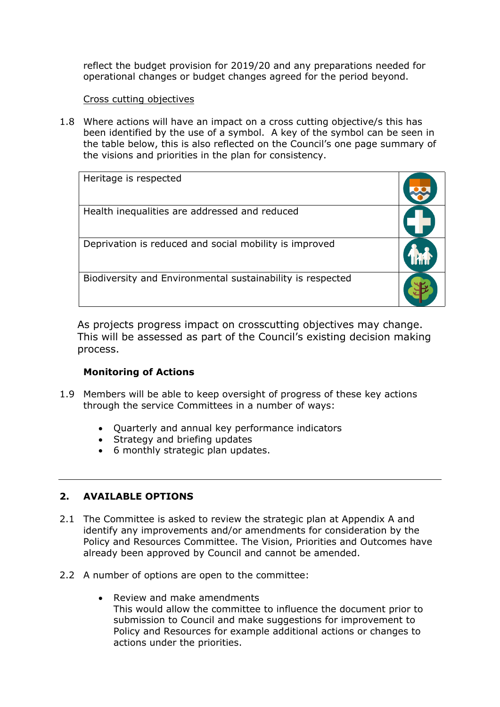reflect the budget provision for 2019/20 and any preparations needed for operational changes or budget changes agreed for the period beyond.

#### Cross cutting objectives

1.8 Where actions will have an impact on a cross cutting objective/s this has been identified by the use of a symbol. A key of the symbol can be seen in the table below, this is also reflected on the Council's one page summary of the visions and priorities in the plan for consistency.

| Heritage is respected                                      |  |
|------------------------------------------------------------|--|
| Health inequalities are addressed and reduced              |  |
| Deprivation is reduced and social mobility is improved     |  |
| Biodiversity and Environmental sustainability is respected |  |

As projects progress impact on crosscutting objectives may change. This will be assessed as part of the Council's existing decision making process.

#### **Monitoring of Actions**

- 1.9 Members will be able to keep oversight of progress of these key actions through the service Committees in a number of ways:
	- Ouarterly and annual key performance indicators
	- Strategy and briefing updates
	- 6 monthly strategic plan updates.

#### **2. AVAILABLE OPTIONS**

- 2.1 The Committee is asked to review the strategic plan at Appendix A and identify any improvements and/or amendments for consideration by the Policy and Resources Committee. The Vision, Priorities and Outcomes have already been approved by Council and cannot be amended.
- 2.2 A number of options are open to the committee:
	- Review and make amendments This would allow the committee to influence the document prior to submission to Council and make suggestions for improvement to Policy and Resources for example additional actions or changes to actions under the priorities.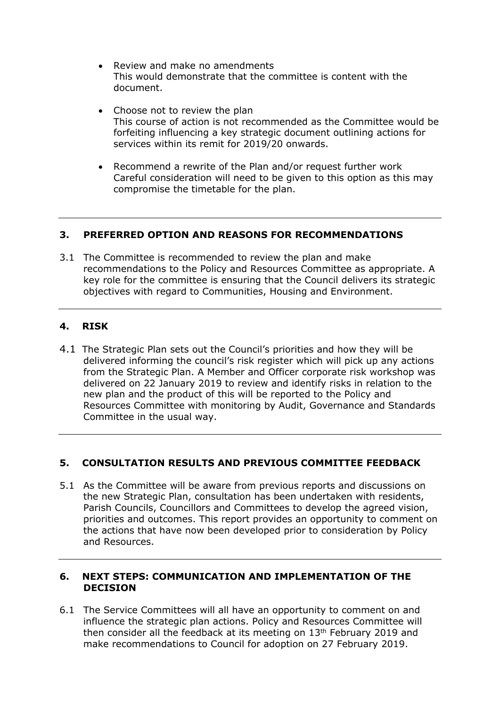- Review and make no amendments This would demonstrate that the committee is content with the document.
- Choose not to review the plan This course of action is not recommended as the Committee would be forfeiting influencing a key strategic document outlining actions for services within its remit for 2019/20 onwards.
- Recommend a rewrite of the Plan and/or request further work Careful consideration will need to be given to this option as this may compromise the timetable for the plan.

#### **3. PREFERRED OPTION AND REASONS FOR RECOMMENDATIONS**

3.1 The Committee is recommended to review the plan and make recommendations to the Policy and Resources Committee as appropriate. A key role for the committee is ensuring that the Council delivers its strategic objectives with regard to Communities, Housing and Environment.

# **4. RISK**

4.1 The Strategic Plan sets out the Council's priorities and how they will be delivered informing the council's risk register which will pick up any actions from the Strategic Plan. A Member and Officer corporate risk workshop was delivered on 22 January 2019 to review and identify risks in relation to the new plan and the product of this will be reported to the Policy and Resources Committee with monitoring by Audit, Governance and Standards Committee in the usual way.

## **5. CONSULTATION RESULTS AND PREVIOUS COMMITTEE FEEDBACK**

5.1 As the Committee will be aware from previous reports and discussions on the new Strategic Plan, consultation has been undertaken with residents, Parish Councils, Councillors and Committees to develop the agreed vision, priorities and outcomes. This report provides an opportunity to comment on the actions that have now been developed prior to consideration by Policy and Resources.

#### **6. NEXT STEPS: COMMUNICATION AND IMPLEMENTATION OF THE DECISION**

6.1 The Service Committees will all have an opportunity to comment on and influence the strategic plan actions. Policy and Resources Committee will then consider all the feedback at its meeting on 13th February 2019 and make recommendations to Council for adoption on 27 February 2019.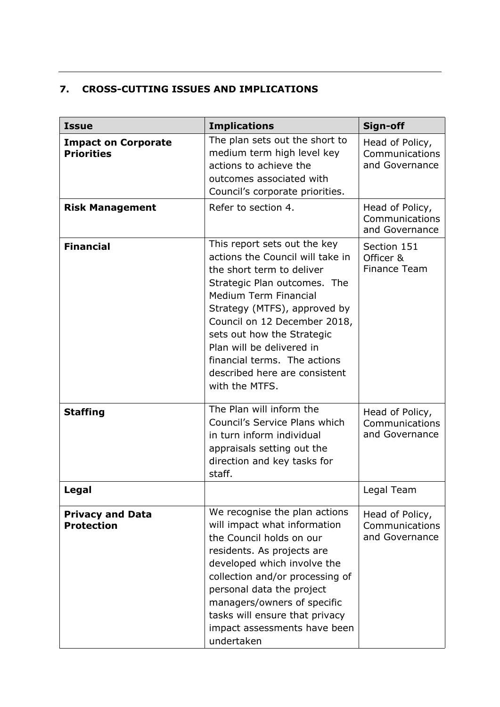# **7. CROSS-CUTTING ISSUES AND IMPLICATIONS**

| <b>Issue</b>                                    | <b>Implications</b>                                                                                                                                                                                                                                                                                                                                                         | Sign-off                                            |
|-------------------------------------------------|-----------------------------------------------------------------------------------------------------------------------------------------------------------------------------------------------------------------------------------------------------------------------------------------------------------------------------------------------------------------------------|-----------------------------------------------------|
| <b>Impact on Corporate</b><br><b>Priorities</b> | The plan sets out the short to<br>medium term high level key<br>actions to achieve the<br>outcomes associated with<br>Council's corporate priorities.                                                                                                                                                                                                                       | Head of Policy,<br>Communications<br>and Governance |
| <b>Risk Management</b>                          | Refer to section 4.                                                                                                                                                                                                                                                                                                                                                         | Head of Policy,<br>Communications<br>and Governance |
| <b>Financial</b>                                | This report sets out the key<br>actions the Council will take in<br>the short term to deliver<br>Strategic Plan outcomes. The<br><b>Medium Term Financial</b><br>Strategy (MTFS), approved by<br>Council on 12 December 2018,<br>sets out how the Strategic<br>Plan will be delivered in<br>financial terms. The actions<br>described here are consistent<br>with the MTFS. | Section 151<br>Officer &<br><b>Finance Team</b>     |
| <b>Staffing</b>                                 | The Plan will inform the<br>Council's Service Plans which<br>in turn inform individual<br>appraisals setting out the<br>direction and key tasks for<br>staff.                                                                                                                                                                                                               | Head of Policy,<br>Communications<br>and Governance |
| Legal                                           |                                                                                                                                                                                                                                                                                                                                                                             | Legal Team                                          |
| <b>Privacy and Data</b><br><b>Protection</b>    | We recognise the plan actions<br>will impact what information<br>the Council holds on our<br>residents. As projects are<br>developed which involve the<br>collection and/or processing of<br>personal data the project<br>managers/owners of specific<br>tasks will ensure that privacy<br>impact assessments have been<br>undertaken                                       | Head of Policy,<br>Communications<br>and Governance |